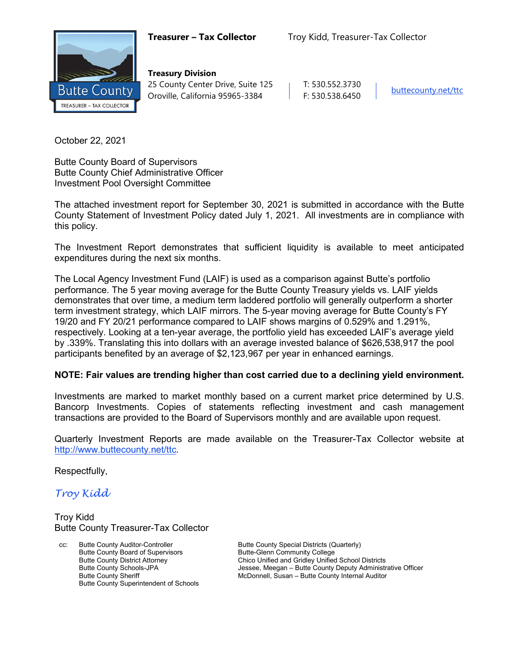

**Treasury Division** 25 County Center Drive, Suite 125 | T: 530.552.3730 Oroville, California 95965-3384 F: 530.538.6450

October 22, 2021

Butte County Board of Supervisors Butte County Chief Administrative Officer Investment Pool Oversight Committee

The attached investment report for September 30, 2021 is submitted in accordance with the Butte County Statement of Investment Policy dated July 1, 2021. All investments are in compliance with this policy.

The Investment Report demonstrates that sufficient liquidity is available to meet anticipated expenditures during the next six months.

The Local Agency Investment Fund (LAIF) is used as a comparison against Butte's portfolio performance. The 5 year moving average for the Butte County Treasury yields vs. LAIF yields demonstrates that over time, a medium term laddered portfolio will generally outperform a shorter term investment strategy, which LAIF mirrors. The 5-year moving average for Butte County's FY 19/20 and FY 20/21 performance compared to LAIF shows margins of 0.529% and 1.291%, respectively. Looking at a ten-year average, the portfolio yield has exceeded LAIF's average yield by .339%. Translating this into dollars with an average invested balance of \$626,538,917 the pool participants benefited by an average of \$2,123,967 per year in enhanced earnings.

#### **NOTE: Fair values are trending higher than cost carried due to a declining yield environment.**

Investments are marked to market monthly based on a current market price determined by U.S. Bancorp Investments. Copies of statements reflecting investment and cash management transactions are provided to the Board of Supervisors monthly and are available upon request.

Quarterly Investment Reports are made available on the Treasurer-Tax Collector website at <http://www.buttecounty.net/ttc>.

Respectfully,

*Troy Kidd*

Troy Kidd Butte County Treasurer-Tax Collector

Butte County Auditor-Controller **Butte County Special Districts (Quarterly)** Butte County Special Districts (Quarterly) Butte County Board of Supervisors<br>
Butte County District Attorney<br>
Chico Unified and Gridley Unified Butte County Superintendent of Schools

Butte County District Attorney Chico Unified and Gridley Unified School Districts<br>Butte County Schools-JPA Schools and County Deputy Administr Butte County Schools-JPA **Jessee, Meegan – Butte County Deputy Administrative Officer**<br>Butte County Sheriff **Julie 2006** McDonnell, Susan – Butte County Internal Auditor McDonnell, Susan – Butte County Internal Auditor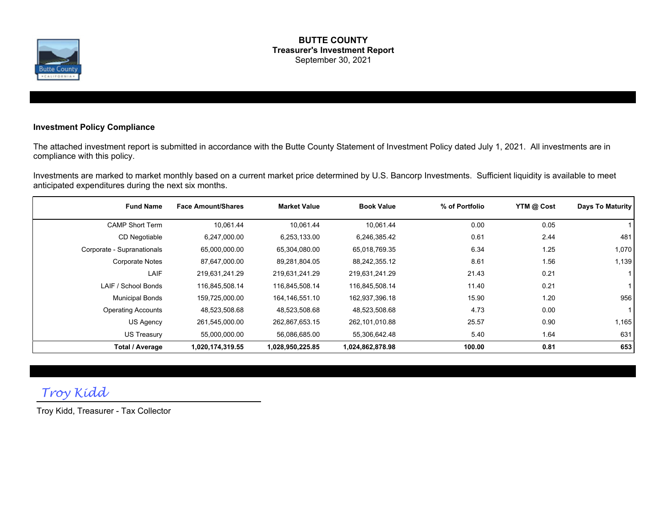

#### **BUTTE COUNTY Treasurer's Investment Report** September 30, 2021

#### **Investment Policy Compliance**

The attached investment report is submitted in accordance with the Butte County Statement of Investment Policy dated July 1, 2021. All investments are in compliance with this policy.

Investments are marked to market monthly based on a current market price determined by U.S. Bancorp Investments. Sufficient liquidity is available to meet anticipated expenditures during the next six months.

| <b>Fund Name</b>           | <b>Face Amount/Shares</b> | <b>Market Value</b> | <b>Book Value</b> | % of Portfolio | YTM @ Cost | Days To Maturity |
|----------------------------|---------------------------|---------------------|-------------------|----------------|------------|------------------|
| <b>CAMP Short Term</b>     | 10,061.44                 | 10,061.44           | 10,061.44         | 0.00           | 0.05       |                  |
| CD Negotiable              | 6,247,000.00              | 6,253,133.00        | 6,246,385.42      | 0.61           | 2.44       | 481              |
| Corporate - Supranationals | 65,000,000.00             | 65,304,080.00       | 65,018,769.35     | 6.34           | 1.25       | 1,070            |
| <b>Corporate Notes</b>     | 87,647,000.00             | 89,281,804.05       | 88,242,355.12     | 8.61           | 1.56       | 1,139            |
| <b>LAIF</b>                | 219,631,241.29            | 219,631,241.29      | 219,631,241.29    | 21.43          | 0.21       |                  |
| LAIF / School Bonds        | 116,845,508.14            | 116,845,508.14      | 116,845,508.14    | 11.40          | 0.21       |                  |
| <b>Municipal Bonds</b>     | 159,725,000.00            | 164,146,551.10      | 162,937,396.18    | 15.90          | 1.20       | 956              |
| <b>Operating Accounts</b>  | 48,523,508.68             | 48,523,508.68       | 48,523,508.68     | 4.73           | 0.00       |                  |
| US Agency                  | 261,545,000.00            | 262,867,653.15      | 262,101,010.88    | 25.57          | 0.90       | 1,165            |
| US Treasury                | 55,000,000.00             | 56,086,685.00       | 55,306,642.48     | 5.40           | 1.64       | 631              |
| Total / Average            | 1,020,174,319.55          | 1,028,950,225.85    | 1,024,862,878.98  | 100.00         | 0.81       | 653              |

# *Troy Kidd*

Troy Kidd, Treasurer - Tax Collector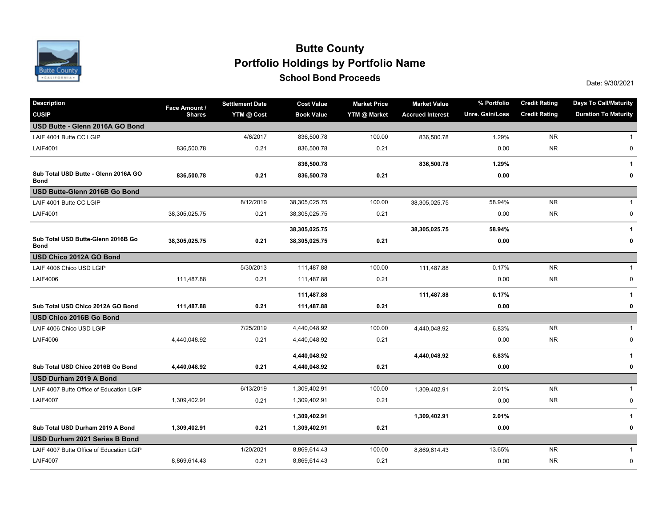

### **School Bond Proceeds School Bond Proceeds Portfolio Holdings by Portfolio Name Butte County**

| <b>Description</b>                                  | Face Amount / | <b>Settlement Date</b> | <b>Cost Value</b> | <b>Market Price</b> | <b>Market Value</b>     | % Portfolio     | <b>Credit Rating</b> | <b>Days To Call/Maturity</b> |  |
|-----------------------------------------------------|---------------|------------------------|-------------------|---------------------|-------------------------|-----------------|----------------------|------------------------------|--|
| <b>CUSIP</b>                                        | <b>Shares</b> | YTM @ Cost             | <b>Book Value</b> | YTM @ Market        | <b>Accrued Interest</b> | Unre. Gain/Loss | <b>Credit Rating</b> | <b>Duration To Maturity</b>  |  |
| USD Butte - Glenn 2016A GO Bond                     |               |                        |                   |                     |                         |                 |                      |                              |  |
| LAIF 4001 Butte CC LGIP                             |               | 4/6/2017               | 836,500.78        | 100.00              | 836,500.78              | 1.29%           | <b>NR</b>            | $\mathbf{1}$                 |  |
| <b>LAIF4001</b>                                     | 836,500.78    | 0.21                   | 836,500.78        | 0.21                |                         | 0.00            | <b>NR</b>            | 0                            |  |
|                                                     |               |                        | 836,500.78        |                     | 836,500.78              | 1.29%           |                      | $\mathbf{1}$                 |  |
| Sub Total USD Butte - Glenn 2016A GO<br><b>Bond</b> | 836,500.78    | 0.21                   | 836,500.78        | 0.21                |                         | 0.00            |                      | 0                            |  |
| USD Butte-Glenn 2016B Go Bond                       |               |                        |                   |                     |                         |                 |                      |                              |  |
| LAIF 4001 Butte CC LGIP                             |               | 8/12/2019              | 38,305,025.75     | 100.00              | 38,305,025.75           | 58.94%          | <b>NR</b>            | 1                            |  |
| <b>LAIF4001</b>                                     | 38,305,025.75 | 0.21                   | 38,305,025.75     | 0.21                |                         | 0.00            | <b>NR</b>            | 0                            |  |
|                                                     |               |                        | 38,305,025.75     |                     | 38,305,025.75           | 58.94%          |                      | 1                            |  |
| Sub Total USD Butte-Glenn 2016B Go<br>Bond          | 38,305,025.75 | 0.21                   | 38,305,025.75     | 0.21                |                         | 0.00            |                      | 0                            |  |
| USD Chico 2012A GO Bond                             |               |                        |                   |                     |                         |                 |                      |                              |  |
| LAIF 4006 Chico USD LGIP                            |               | 5/30/2013              | 111,487.88        | 100.00              | 111,487.88              | 0.17%           | <b>NR</b>            | $\mathbf{1}$                 |  |
| <b>LAIF4006</b>                                     | 111,487.88    | 0.21                   | 111,487.88        | 0.21                |                         | 0.00            | <b>NR</b>            | $\pmb{0}$                    |  |
|                                                     |               |                        | 111,487.88        |                     | 111,487.88              | 0.17%           |                      | $\mathbf{1}$                 |  |
| Sub Total USD Chico 2012A GO Bond                   | 111,487.88    | 0.21                   | 111,487.88        | 0.21                |                         | 0.00            |                      | $\pmb{0}$                    |  |
| USD Chico 2016B Go Bond                             |               |                        |                   |                     |                         |                 |                      |                              |  |
| LAIF 4006 Chico USD LGIP                            |               | 7/25/2019              | 4,440,048.92      | 100.00              | 4,440,048.92            | 6.83%           | <b>NR</b>            | $\mathbf{1}$                 |  |
| <b>LAIF4006</b>                                     | 4,440,048.92  | 0.21                   | 4,440,048.92      | 0.21                |                         | 0.00            | <b>NR</b>            | 0                            |  |
|                                                     |               |                        | 4,440,048.92      |                     | 4,440,048.92            | 6.83%           |                      | 1                            |  |
| Sub Total USD Chico 2016B Go Bond                   | 4,440,048.92  | 0.21                   | 4,440,048.92      | 0.21                |                         | 0.00            |                      | 0                            |  |
| USD Durham 2019 A Bond                              |               |                        |                   |                     |                         |                 |                      |                              |  |
| LAIF 4007 Butte Office of Education LGIP            |               | 6/13/2019              | 1,309,402.91      | 100.00              | 1,309,402.91            | 2.01%           | <b>NR</b>            | $\mathbf{1}$                 |  |
| <b>LAIF4007</b>                                     | 1,309,402.91  | 0.21                   | 1,309,402.91      | 0.21                |                         | 0.00            | <b>NR</b>            | $\pmb{0}$                    |  |
|                                                     |               |                        | 1,309,402.91      |                     | 1,309,402.91            | 2.01%           |                      | 1                            |  |
| Sub Total USD Durham 2019 A Bond                    | 1,309,402.91  | 0.21                   | 1,309,402.91      | 0.21                |                         | 0.00            |                      | 0                            |  |
| USD Durham 2021 Series B Bond                       |               |                        |                   |                     |                         |                 |                      |                              |  |
| LAIF 4007 Butte Office of Education LGIP            |               | 1/20/2021              | 8,869,614.43      | 100.00              | 8,869,614.43            | 13.65%          | <b>NR</b>            | $\mathbf{1}$                 |  |
| <b>LAIF4007</b>                                     | 8,869,614.43  | 0.21                   | 8,869,614.43      | 0.21                |                         | 0.00            | <b>NR</b>            | $\pmb{0}$                    |  |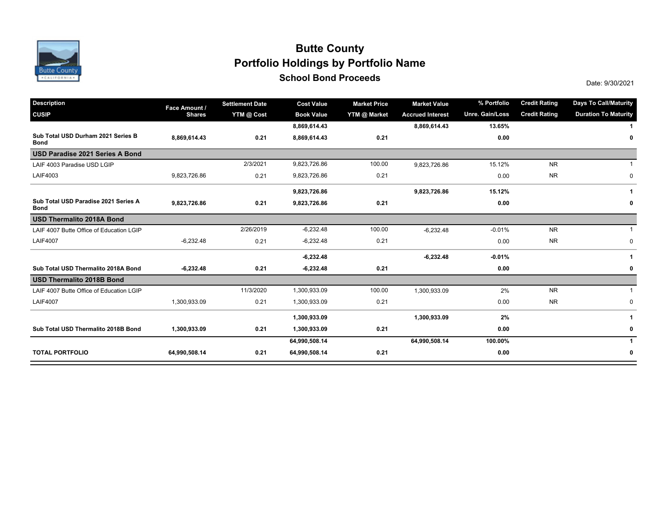

### **School Bond Proceeds School Bond Proceeds Portfolio Holdings by Portfolio Name Butte County**

| <b>Description</b>                                  | Face Amount / | <b>Settlement Date</b> | <b>Cost Value</b> | <b>Market Price</b> | <b>Market Value</b>     | % Portfolio     | <b>Credit Rating</b> | <b>Days To Call/Maturity</b> |
|-----------------------------------------------------|---------------|------------------------|-------------------|---------------------|-------------------------|-----------------|----------------------|------------------------------|
| <b>CUSIP</b>                                        | <b>Shares</b> | YTM @ Cost             | <b>Book Value</b> | YTM @ Market        | <b>Accrued Interest</b> | Unre. Gain/Loss | <b>Credit Rating</b> | <b>Duration To Maturity</b>  |
|                                                     |               |                        | 8,869,614.43      |                     | 8,869,614.43            | 13.65%          |                      |                              |
| Sub Total USD Durham 2021 Series B<br><b>Bond</b>   | 8,869,614.43  | 0.21                   | 8,869,614.43      | 0.21                |                         | 0.00            |                      | 0                            |
| USD Paradise 2021 Series A Bond                     |               |                        |                   |                     |                         |                 |                      |                              |
| LAIF 4003 Paradise USD LGIP                         |               | 2/3/2021               | 9,823,726.86      | 100.00              | 9,823,726.86            | 15.12%          | <b>NR</b>            |                              |
| LAIF4003                                            | 9,823,726.86  | 0.21                   | 9,823,726.86      | 0.21                |                         | 0.00            | <b>NR</b>            | 0                            |
|                                                     |               |                        | 9,823,726.86      |                     | 9,823,726.86            | 15.12%          |                      |                              |
| Sub Total USD Paradise 2021 Series A<br><b>Bond</b> | 9,823,726.86  | 0.21                   | 9,823,726.86      | 0.21                |                         | 0.00            |                      | 0                            |
| <b>USD Thermalito 2018A Bond</b>                    |               |                        |                   |                     |                         |                 |                      |                              |
| LAIF 4007 Butte Office of Education LGIP            |               | 2/26/2019              | $-6,232.48$       | 100.00              | $-6,232.48$             | $-0.01%$        | <b>NR</b>            |                              |
| <b>LAIF4007</b>                                     | $-6,232.48$   | 0.21                   | $-6,232.48$       | 0.21                |                         | 0.00            | <b>NR</b>            | $\mathbf 0$                  |
|                                                     |               |                        | $-6,232.48$       |                     | $-6,232.48$             | $-0.01%$        |                      | 1                            |
| Sub Total USD Thermalito 2018A Bond                 | $-6,232.48$   | 0.21                   | $-6,232.48$       | 0.21                |                         | 0.00            |                      | 0                            |
| <b>USD Thermalito 2018B Bond</b>                    |               |                        |                   |                     |                         |                 |                      |                              |
| LAIF 4007 Butte Office of Education LGIP            |               | 11/3/2020              | 1,300,933.09      | 100.00              | 1,300,933.09            | 2%              | <b>NR</b>            |                              |
| <b>LAIF4007</b>                                     | 1,300,933.09  | 0.21                   | 1,300,933.09      | 0.21                |                         | 0.00            | <b>NR</b>            | $\mathbf 0$                  |
|                                                     |               |                        | 1,300,933.09      |                     | 1,300,933.09            | 2%              |                      |                              |
| Sub Total USD Thermalito 2018B Bond                 | 1,300,933.09  | 0.21                   | 1,300,933.09      | 0.21                |                         | 0.00            |                      | 0                            |
|                                                     |               |                        | 64,990,508.14     |                     | 64,990,508.14           | 100.00%         |                      | 1                            |
| <b>TOTAL PORTFOLIO</b>                              | 64,990,508.14 | 0.21                   | 64,990,508.14     | 0.21                |                         | 0.00            |                      | 0                            |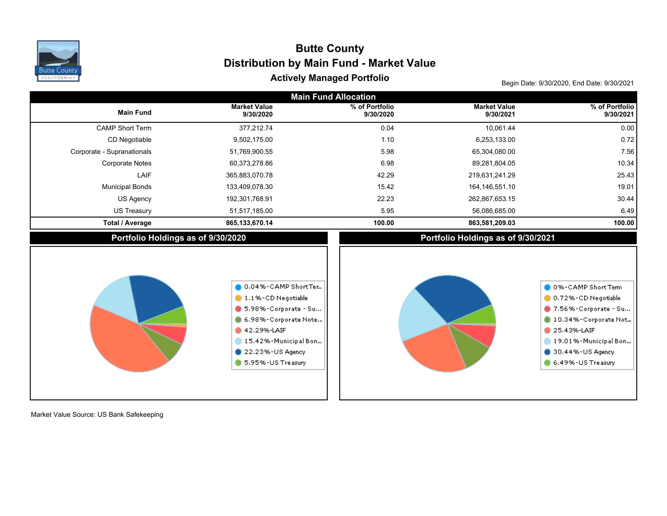

# Begin Date: 9/30/2020, End Date: 9/30/2021 **Actively Managed Portfolio Distribution by Main Fund - Market Value Butte County**

| <b>Main Fund Allocation</b>        |                                                                                                                                                                           |                             |                                    |                                                                                                                                                                             |  |  |  |  |
|------------------------------------|---------------------------------------------------------------------------------------------------------------------------------------------------------------------------|-----------------------------|------------------------------------|-----------------------------------------------------------------------------------------------------------------------------------------------------------------------------|--|--|--|--|
| <b>Main Fund</b>                   | <b>Market Value</b><br>9/30/2020                                                                                                                                          | % of Portfolio<br>9/30/2020 | <b>Market Value</b><br>9/30/2021   | % of Portfolio<br>9/30/2021                                                                                                                                                 |  |  |  |  |
| <b>CAMP Short Term</b>             | 377,212.74                                                                                                                                                                | 0.04                        | 10,061.44                          | 0.00                                                                                                                                                                        |  |  |  |  |
| CD Negotiable                      | 9,502,175.00                                                                                                                                                              | 1.10                        | 6,253,133.00                       | 0.72                                                                                                                                                                        |  |  |  |  |
| Corporate - Supranationals         | 51,769,900.55                                                                                                                                                             | 5.98                        | 65,304,080.00                      | 7.56                                                                                                                                                                        |  |  |  |  |
| <b>Corporate Notes</b>             | 60,373,278.86                                                                                                                                                             | 6.98                        | 89,281,804.05                      | 10.34                                                                                                                                                                       |  |  |  |  |
| LAIF                               | 365,883,070.78                                                                                                                                                            | 42.29                       | 219,631,241.29                     | 25.43                                                                                                                                                                       |  |  |  |  |
| <b>Municipal Bonds</b>             | 133,409,078.30                                                                                                                                                            | 15.42                       | 164, 146, 551. 10                  | 19.01                                                                                                                                                                       |  |  |  |  |
| US Agency                          | 192,301,768.91                                                                                                                                                            | 22.23                       | 262,867,653.15                     | 30.44                                                                                                                                                                       |  |  |  |  |
| <b>US Treasury</b>                 | 51,517,185.00                                                                                                                                                             | 5.95                        | 56,086,685.00                      | 6.49                                                                                                                                                                        |  |  |  |  |
| <b>Total / Average</b>             | 865,133,670.14                                                                                                                                                            | 100.00                      | 863,581,209.03                     | 100.00                                                                                                                                                                      |  |  |  |  |
| Portfolio Holdings as of 9/30/2020 |                                                                                                                                                                           |                             | Portfolio Holdings as of 9/30/2021 |                                                                                                                                                                             |  |  |  |  |
|                                    | 0.04%-CAMP ShortTer<br>1.1%-CD Negotiable<br>5.98%-Corporate - Su<br>6.98%-Corporate Note<br>42.29%-LAIF<br>15.42%-Municipal Bon<br>22.23%-US Agency<br>5.95%-US Treasury |                             |                                    | 0 0%-CAMP Short Term<br>0.72%-CD Negotiable<br>7.56%-Corporate - Su<br>10.34%-Corporate Not<br>25.43%-LAIF<br>19.01%-Municipal Bon<br>30.44%-US Agency<br>6.49%-US Treasury |  |  |  |  |

Market Value Source: US Bank Safekeeping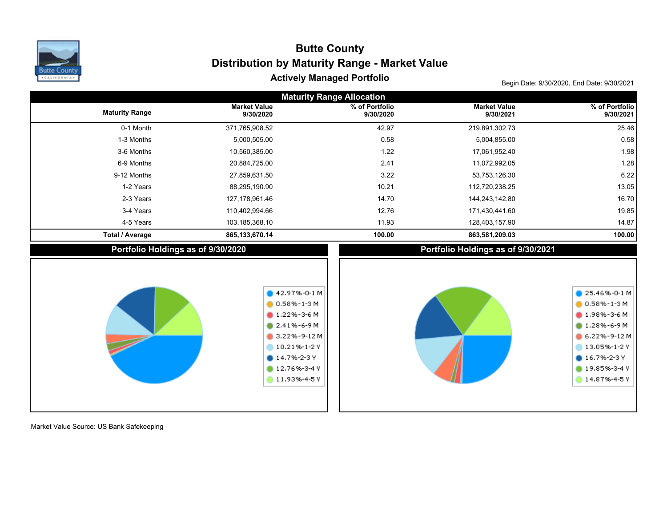

## Begin Date: 9/30/2020, End Date: 9/30/2021 **Actively Managed Portfolio Distribution by Maturity Range - Market Value Butte County**

| <b>Maturity Range Allocation</b>   |                                                                                                                                                                                    |                             |                                    |                                                                                                                                                                 |  |  |  |  |  |
|------------------------------------|------------------------------------------------------------------------------------------------------------------------------------------------------------------------------------|-----------------------------|------------------------------------|-----------------------------------------------------------------------------------------------------------------------------------------------------------------|--|--|--|--|--|
| <b>Maturity Range</b>              | <b>Market Value</b><br>9/30/2020                                                                                                                                                   | % of Portfolio<br>9/30/2020 | <b>Market Value</b><br>9/30/2021   | % of Portfolio<br>9/30/2021                                                                                                                                     |  |  |  |  |  |
| 0-1 Month                          | 371,765,908.52                                                                                                                                                                     | 42.97                       | 219,891,302.73                     | 25.46                                                                                                                                                           |  |  |  |  |  |
| 1-3 Months                         | 5,000,505.00                                                                                                                                                                       | 0.58                        | 5,004,855.00                       | 0.58                                                                                                                                                            |  |  |  |  |  |
| 3-6 Months                         | 10,560,385.00                                                                                                                                                                      | 1.22                        | 17,061,952.40                      | 1.98                                                                                                                                                            |  |  |  |  |  |
| 6-9 Months                         | 20,884,725.00                                                                                                                                                                      | 2.41                        | 11,072,992.05                      | 1.28                                                                                                                                                            |  |  |  |  |  |
| 9-12 Months                        | 27,859,631.50                                                                                                                                                                      | 3.22                        | 53,753,126.30                      | 6.22                                                                                                                                                            |  |  |  |  |  |
| 1-2 Years                          | 88,295,190.90                                                                                                                                                                      | 10.21                       | 112,720,238.25                     | 13.05                                                                                                                                                           |  |  |  |  |  |
| 2-3 Years                          | 127, 178, 961. 46                                                                                                                                                                  | 14.70                       | 144,243,142.80                     | 16.70                                                                                                                                                           |  |  |  |  |  |
| 3-4 Years                          | 110,402,994.66                                                                                                                                                                     | 12.76                       | 171,430,441.60                     | 19.85                                                                                                                                                           |  |  |  |  |  |
| 4-5 Years                          | 103,185,368.10                                                                                                                                                                     | 11.93                       | 128,403,157.90                     | 14.87                                                                                                                                                           |  |  |  |  |  |
| <b>Total / Average</b>             | 865, 133, 670. 14                                                                                                                                                                  | 100.00                      | 863,581,209.03                     | 100.00                                                                                                                                                          |  |  |  |  |  |
| Portfolio Holdings as of 9/30/2020 |                                                                                                                                                                                    |                             | Portfolio Holdings as of 9/30/2021 |                                                                                                                                                                 |  |  |  |  |  |
|                                    | $42.97% - 0 - 1 M$<br>$0.58\% - 1 - 3M$<br>$0.1.22\% - 3 - 6$ M<br>$2.41\% - 6 - 9M$<br>$3.22\% - 9 - 12M$<br>10.21%-1-2Y<br>$014.7% - 2-3V$<br>12.76%-3-4 Y<br>$11.93\% - 4 - 5V$ |                             |                                    | $\bullet$ 25.46%-0-1 M<br>$0.58\% - 1 - 3M$<br>$1.98\% - 3 - 6M$<br>1.28%-6-9M<br>6.22%-9-12 M<br>13.05%-1-2Y<br>$016.7% - 2-3V$<br>19.85%-3-4 Y<br>14.87%-4-5Y |  |  |  |  |  |

Market Value Source: US Bank Safekeeping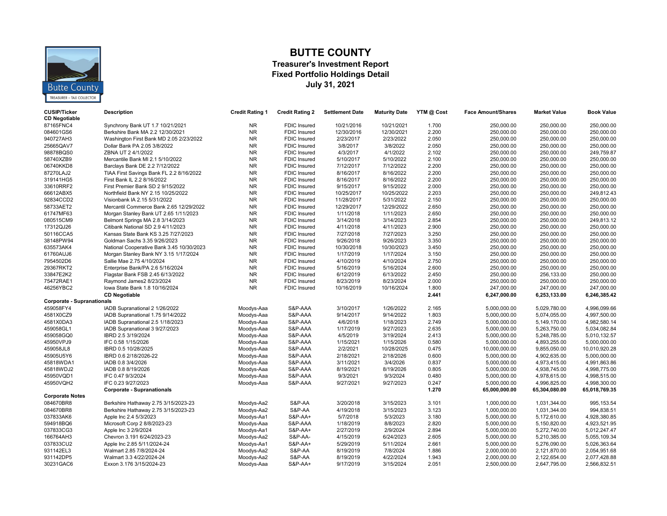

#### **BUTTE COUNTY**

#### **Treasurer's Investment Report Fixed Portfolio Holdings Detail July 31, 2021**

| <b>CUSIP/Ticker</b><br><b>CD Negotiable</b> | <b>Description</b>                        | <b>Credit Rating 1</b> | <b>Credit Rating 2</b> | <b>Settlement Date</b> | <b>Maturity Date</b> | YTM @ Cost | <b>Face Amount/Shares</b> | <b>Market Value</b> | <b>Book Value</b> |
|---------------------------------------------|-------------------------------------------|------------------------|------------------------|------------------------|----------------------|------------|---------------------------|---------------------|-------------------|
| 87165FNC4                                   | Synchrony Bank UT 1.7 10/21/2021          | <b>NR</b>              | <b>FDIC</b> Insured    | 10/21/2016             | 10/21/2021           | 1.700      | 250.000.00                | 250.000.00          | 250.000.00        |
| 084601GS6                                   | Berkshire Bank MA 2.2 12/30/2021          | <b>NR</b>              | <b>FDIC Insured</b>    | 12/30/2016             | 12/30/2021           | 2.200      | 250,000.00                | 250,000.00          | 250,000.00        |
| 940727AH3                                   | Washington First Bank MD 2.05 2/23/2022   | <b>NR</b>              | <b>FDIC Insured</b>    | 2/23/2017              | 2/23/2022            | 2.050      | 250,000.00                | 250,000.00          | 250,000.00        |
| 25665QAV7                                   | Dollar Bank PA 2.05 3/8/2022              | <b>NR</b>              | <b>FDIC</b> Insured    | 3/8/2017               | 3/8/2022             | 2.050      | 250,000.00                | 250.000.00          | 250,000.00        |
| 98878BQS0                                   | ZBNA UT 2 4/1/2022                        | <b>NR</b>              | <b>FDIC Insured</b>    | 4/3/2017               | 4/1/2022             | 2.102      | 250,000.00                | 250,000.00          | 249,759.87        |
| 58740XZB9                                   | Mercantile Bank MI 2.1 5/10/2022          | <b>NR</b>              | <b>FDIC Insured</b>    | 5/10/2017              | 5/10/2022            | 2.100      | 250,000.00                | 250,000.00          | 250,000.00        |
| 06740KKD8                                   | Barclays Bank DE 2.2 7/12/2022            | <b>NR</b>              | FDIC Insured           | 7/12/2017              | 7/12/2022            | 2.200      | 250,000.00                | 250,000.00          | 250,000.00        |
| 87270LAJ2                                   | TIAA First Savings Bank FL 2.2 8/16/2022  | <b>NR</b>              | <b>FDIC Insured</b>    | 8/16/2017              | 8/16/2022            | 2.200      | 250,000.00                | 250,000.00          | 250,000.00        |
| 319141HG5                                   | First Bank IL 2.2 8/16/2022               | <b>NR</b>              | <b>FDIC</b> Insured    | 8/16/2017              | 8/16/2022            | 2.200      | 250,000.00                | 250.000.00          | 250,000.00        |
| 33610RRF2                                   | First Premier Bank SD 2 9/15/2022         | <b>NR</b>              | <b>FDIC Insured</b>    | 9/15/2017              | 9/15/2022            | 2.000      | 250,000.00                | 250,000.00          | 250,000.00        |
| 66612ABX5                                   | Northfield Bank NY 2.15 10/25/2022        | <b>NR</b>              | <b>FDIC Insured</b>    | 10/25/2017             | 10/25/2022           | 2.203      | 250,000.00                | 250,000.00          | 249,812.43        |
| 92834CCD2                                   | Visionbank IA 2.15 5/31/2022              | <b>NR</b>              | FDIC Insured           | 11/28/2017             | 5/31/2022            | 2.150      | 250,000.00                | 250,000.00          | 250,000.00        |
| 58733AET2                                   | Mercantil Commerce Bank 2.65 12/29/2022   | <b>NR</b>              | <b>FDIC Insured</b>    | 12/29/2017             | 12/29/2022           | 2.650      | 250,000.00                | 250,000.00          | 250,000.00        |
| 61747MF63                                   | Morgan Stanley Bank UT 2.65 1/11/2023     | <b>NR</b>              | <b>FDIC</b> Insured    | 1/11/2018              | 1/11/2023            | 2.650      | 250,000.00                | 250,000.00          | 250,000.00        |
| 080515CM9                                   | Belmont Springs MA 2.8 3/14/2023          | <b>NR</b>              | <b>FDIC</b> Insured    | 3/14/2018              | 3/14/2023            | 2.854      | 250.000.00                | 250,000.00          | 249.813.12        |
| 17312QJ26                                   | Citibank National SD 2.9 4/11/2023        | <b>NR</b>              | <b>FDIC Insured</b>    | 4/11/2018              | 4/11/2023            | 2.900      | 250,000.00                | 250,000.00          | 250,000.00        |
| 50116CCA5                                   | Kansas State Bank KS 3.25 7/27/2023       | <b>NR</b>              | <b>FDIC Insured</b>    | 7/27/2018              | 7/27/2023            | 3.250      | 250,000.00                | 250,000.00          | 250,000.00        |
| 38148PW94                                   | Goldman Sachs 3.35 9/26/2023              | <b>NR</b>              | <b>FDIC Insured</b>    | 9/26/2018              | 9/26/2023            | 3.350      | 250,000.00                | 250,000.00          | 250,000.00        |
| 635573AK4                                   | National Cooperative Bank 3.45 10/30/2023 | <b>NR</b>              | <b>FDIC</b> Insured    | 10/30/2018             | 10/30/2023           | 3.450      | 250,000.00                | 250,000.00          | 250,000.00        |
| 61760AUJ6                                   | Morgan Stanley Bank NY 3.15 1/17/2024     | <b>NR</b>              | <b>FDIC Insured</b>    | 1/17/2019              | 1/17/2024            | 3.150      | 250,000.00                | 250,000.00          | 250.000.00        |
| 7954502D6                                   | Sallie Mae 2.75 4/10/2024                 | <b>NR</b>              | <b>FDIC Insured</b>    | 4/10/2019              | 4/10/2024            | 2.750      | 250,000.00                | 250,000.00          | 250,000.00        |
| 29367RKT2                                   | Enterprise Bank/PA 2.6 5/16/2024          | <b>NR</b>              | <b>FDIC Insured</b>    | 5/16/2019              | 5/16/2024            | 2.600      | 250,000.00                | 250,000.00          | 250,000.00        |
| 33847E2K2                                   | Flagstar Bank FSB 2.45 6/13/2022          | <b>NR</b>              | <b>FDIC Insured</b>    | 6/12/2019              | 6/13/2022            | 2.450      | 250,000.00                | 256,133.00          | 250,000.00        |
| 75472RAE1                                   | Raymond James2 8/23/2024                  | <b>NR</b>              | FDIC Insured           | 8/23/2019              | 8/23/2024            | 2.000      | 250,000.00                | 250,000.00          | 250,000.00        |
| 46256YBC2                                   | lowa State Bank 1.8 10/16/2024            | <b>NR</b>              | <b>FDIC</b> Insured    | 10/16/2019             | 10/16/2024           | 1.800      | 247,000.00                | 247,000.00          | 247,000.00        |
|                                             | <b>CD Negotiable</b>                      |                        |                        |                        |                      | 2.441      | 6,247,000.00              | 6,253,133.00        | 6,246,385.42      |
| <b>Corporate - Supranationals</b>           |                                           |                        |                        |                        |                      |            |                           |                     |                   |
| 459058FY4                                   | IADB Supranational 2 1/26/2022            | Moodys-Aaa             | S&P-AAA                | 3/10/2017              | 1/26/2022            | 2.165      | 5,000,000.00              | 5,029,780.00        | 4,996,099.66      |
| 4581X0CZ9                                   | IADB Supranational 1.75 9/14/2022         | Moodys-Aaa             | S&P-AAA                | 9/14/2017              | 9/14/2022            | 1.803      | 5,000,000.00              | 5,074,055.00        | 4,997,500.00      |
| 4581X0DA3                                   | IADB Supranational 2.5 1/18/2023          | Moodys-Aaa             | S&P-AAA                | 4/6/2018               | 1/18/2023            | 2.749      | 5,000,000.00              | 5,149,170.00        | 4,982,580.14      |
| 459058GL1                                   | IADB Supranational 3 9/27/2023            | Moodys-Aaa             | S&P-AAA                | 1/17/2019              | 9/27/2023            | 2.635      | 5,000,000.00              | 5,263,750.00        | 5,034,082.84      |
| 459058GQ0                                   | IBRD 2.5 3/19/2024                        | Moodys-Aaa             | S&P-AAA                | 4/5/2019               | 3/19/2024            | 2.413      | 5,000,000.00              | 5,248,785.00        | 5,010,132.57      |
| 45950VPJ9                                   | IFC 0.58 1/15/2026                        | Moodys-Aaa             | S&P-AAA                | 1/15/2021              | 1/15/2026            | 0.580      | 5,000,000.00              | 4,893,255.00        | 5,000,000.00      |
| 459058JL8                                   | IBRD 0.5 10/28/2025                       | Moodys-Aaa             | S&P-AAA                | 2/2/2021               | 10/28/2025           | 0.475      | 10,000,000.00             | 9,855,050.00        | 10,010,920.28     |
| 45905U5Y6                                   | IBRD 0.6 2/18/2026-22                     | Moodys-Aaa             | S&P-AAA                | 2/18/2021              | 2/18/2026            | 0.600      | 5,000,000.00              | 4,902,635.00        | 5,000,000.00      |
| 45818WDA1                                   | IADB 0.8 3/4/2026                         | Moodys-Aaa             | S&P-AAA                | 3/11/2021              | 3/4/2026             | 0.837      | 5,000,000.00              | 4,973,415.00        | 4,991,863.86      |
| 45818WDJ2                                   | IADB 0.8 8/19/2026                        | Moodys-Aaa             | S&P-AAA                | 8/19/2021              | 8/19/2026            | 0.805      | 5,000,000.00              | 4,938,745.00        | 4,998,775.00      |
| 45950VQD1                                   | IFC 0.47 9/3/2024                         | Moodys-Aaa             | S&P-AAA                | 9/3/2021               | 9/3/2024             | 0.480      | 5,000,000.00              | 4,978,615.00        | 4,998,515.00      |
| 45950VQH2                                   | IFC 0.23 9/27/2023                        | Moodys-Aaa             | S&P-AAA                | 9/27/2021              | 9/27/2023            | 0.247      | 5,000,000.00              | 4,996,825.00        | 4,998,300.00      |
|                                             | <b>Corporate - Supranationals</b>         |                        |                        |                        |                      | 1.270      | 65,000,000.00             | 65,304,080.00       | 65,018,769.35     |
| <b>Corporate Notes</b>                      |                                           |                        |                        |                        |                      |            |                           |                     |                   |
| 084670BR8                                   | Berkshire Hathaway 2.75 3/15/2023-23      | Moodys-Aa2             | S&P-AA                 | 3/20/2018              | 3/15/2023            | 3.101      | 1,000,000.00              | 1,031,344.00        | 995, 153.54       |
| 084670BR8                                   | Berkshire Hathaway 2.75 3/15/2023-23      | Moodys-Aa2             | S&P-AA                 | 4/19/2018              | 3/15/2023            | 3.123      | 1,000,000.00              | 1,031,344.00        | 994,838.51        |
| 037833AK6                                   | Apple Inc 2.4 5/3/2023                    | Moodys-Aa1             | S&P-AA+                | 5/7/2018               | 5/3/2023             | 3.180      | 5,000,000.00              | 5,172,610.00        | 4,928,380.85      |
| 594918BQ6                                   | Microsoft Corp 2 8/8/2023-23              | Moodys-Aaa             | S&P-AAA                | 1/18/2019              | 8/8/2023             | 2.820      | 5,000,000.00              | 5,150,820.00        | 4,923,521.95      |
| 037833CG3                                   | Apple Inc 3 2/9/2024                      | Moodys-Aa1             | S&P-AA+                | 2/27/2019              | 2/9/2024             | 2.894      | 5,000,000.00              | 5,272,740.00        | 5,012,247.47      |
| 166764AH3                                   | Chevron 3.191 6/24/2023-23                | Moodys-Aa2             | S&P-AA-                | 4/15/2019              | 6/24/2023            | 2.605      | 5,000,000.00              | 5,210,385.00        | 5,055,109.34      |
| 037833CU2                                   | Apple Inc 2.85 5/11/2024-24               | Moodys-Aa1             | S&P-AA+                | 5/29/2019              | 5/11/2024            | 2.661      | 5,000,000.00              | 5,276,090.00        | 5,026,363.64      |
| 931142EL3                                   | Walmart 2.85 7/8/2024-24                  | Moodys-Aa2             | S&P-AA                 | 8/19/2019              | 7/8/2024             | 1.886      | 2,000,000.00              | 2,121,870.00        | 2,054,951.68      |
| 931142DP5                                   | Walmart 3.3 4/22/2024-24                  | Moodys-Aa2             | S&P-AA                 | 8/19/2019              | 4/22/2024            | 1.943      | 2,000,000.00              | 2,122,654.00        | 2,077,428.88      |
| 30231GAC6                                   | Exxon 3.176 3/15/2024-23                  | Moodys-Aaa             | <b>S&amp;P-AA+</b>     | 9/17/2019              | 3/15/2024            | 2.051      | 2,500,000.00              | 2,647,795.00        | 2,566,832.51      |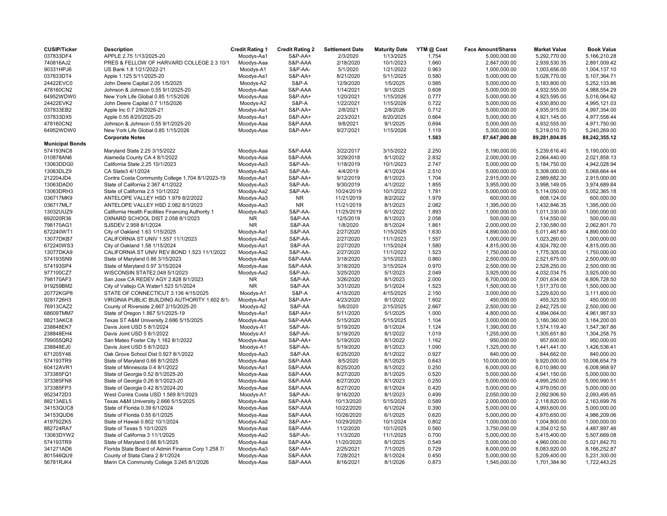| <b>CUSIP/Ticker</b>    | <b>Description</b>                                 | <b>Credit Rating 1</b> | <b>Credit Rating 2</b> | <b>Settlement Date</b> | <b>Maturity Date</b> | YTM @ Cost | <b>Face Amount/Shares</b> | <b>Market Value</b> | <b>Book Value</b> |
|------------------------|----------------------------------------------------|------------------------|------------------------|------------------------|----------------------|------------|---------------------------|---------------------|-------------------|
| 037833DF4              | APPLE 2.75 1/13/2025-20                            | Moodys-Aa1             | S&P-AA+                | 2/3/2020               | 1/13/2025            | 1.754      | 5,000,000.00              | 5,292,770.00        | 5,166,210.28      |
| 740816AJ2              | PRES & FELLOW OF HARVARD COLLEGE 2.3 10/1          | Moodys-Aaa             | S&P-AAA                | 2/18/2020              | 10/1/2023            | 1.660      | 2,847,000.00              | 2,939,530.35        | 2,891,009.42      |
| 90331HPJ6              | US Bank 1.8 1/21/2022-21                           | Moodys-A1              | S&P-AA-                | 5/1/2020               | 1/21/2022            | 0.963      | 1,000,000.00              | 1,003,656.00        | 1,004,137.10      |
| 037833DT4              | Apple 1.125 5/11/2025-20                           | Moodys-Aa1             | <b>S&amp;P-AA+</b>     | 8/21/2020              | 5/11/2025            | 0.580      | 5,000,000.00              | 5,028,770.00        | 5,107,364.71      |
| 24422EVC0              | John Deere Capital 2.05 1/5/2025                   | Moodys-A2              | <b>S&amp;P-A</b>       | 12/9/2020              | 1/5/2025             | 0.585      | 5,000,000.00              | 5,183,800.00        | 5,252,133.86      |
| 478160CN2              | Johnson & Johnson 0.55 9/1/2025-20                 | Moodys-Aaa             | S&P-AAA                | 1/14/2021              | 9/1/2025             | 0.608      | 5,000,000.00              | 4,932,555.00        | 4,988,554.29      |
| 64952WDW0              | New York Life Global 0.85 1/15/2026                | Moodys-Aaa             | <b>S&amp;P-AA+</b>     | 1/20/2021              | 1/15/2026            | 0.777      | 5,000,000.00              | 4,923,595.00        | 5,016,064.62      |
| 24422EVK2              | John Deere Capital 0.7 1/15/2026                   | Moodys-A2              | <b>S&amp;P-A</b>       | 1/22/2021              | 1/15/2026            | 0.722      | 5,000,000.00              | 4,930,850.00        | 4,995,121.03      |
| 037833EB2              | Apple Inc 0.7 2/8/2026-21                          | Moodys-Aa1             | <b>S&amp;P-AA+</b>     | 2/8/2021               | 2/8/2026             | 0.712      | 5,000,000.00              | 4,935,915.00        | 4,997,354.00      |
| 037833DX5              | Apple 0.55 8/20/2025-20                            | Moodys-Aa1             | S&P-AA+                | 2/23/2021              | 8/20/2025            | 0.664      | 5,000,000.00              | 4,921,145.00        | 4,977,558.44      |
| 478160CN2              | Johnson & Johnson 0.55 9/1/2025-20                 | Moodys-Aaa             | S&P-AAA                | 9/8/2021               | 9/1/2025             | 0.694      | 5,000,000.00              | 4,932,555.00        | 4,971,750.00      |
| 64952WDW0              | New York Life Global 0.85 1/15/2026                | Moodys-Aaa             | <b>S&amp;P-AA+</b>     | 9/27/2021              | 1/15/2026            | 1.119      | 5,300,000.00              | 5,219,010.70        | 5,240,269.00      |
|                        | <b>Corporate Notes</b>                             |                        |                        |                        |                      | 1.583      | 87,647,000.00             | 89,281,804.05       | 88,242,355.12     |
| <b>Municipal Bonds</b> |                                                    |                        |                        |                        |                      |            |                           |                     |                   |
| 574193NC8              | Maryland State 2.25 3/15/2022                      | Moodys-Aaa             | S&P-AAA                | 3/22/2017              | 3/15/2022            | 2.250      | 5,190,000.00              | 5,239,616.40        | 5,190,000.00      |
| 010878AN6              | Alameda County CA 4 8/1/2022                       | Moodys-Aaa             | S&P-AAA                | 3/29/2018              | 8/1/2022             | 2.832      | 2,000,000.00              | 2,064,440.00        | 2,021,858.13      |
| 13063DDG0              | California State 2.25 10/1/2023                    | Moodys-Aa3             | S&P-AA-                | 1/18/2019              | 10/1/2023            | 2.747      | 5,000,000.00              | 5,184,750.00        | 4,942,028.94      |
| 13063DLZ9              | CA State3 4/1/2024                                 | Moodys-Aa3             | S&P-AA-                | 4/4/2019               | 4/1/2024             | 2.510      | 5,000,000.00              | 5,308,000.00        | 5,068,664.44      |
| 212204JD4              | Contra Costa Community College 1.704 8/1/2023-19   | Moodys-Aa1             | S&P-AA+                | 9/12/2019              | 8/1/2023             | 1.704      | 2,915,000.00              | 2,989,682.30        | 2,915,000.00      |
| 13063DAD0              | State of California 2.367 4/1/2022                 | Moodys-Aa3             | S&P-AA-                | 9/30/2019              | 4/1/2022             | 1.855      | 3,955,000.00              | 3.998.149.05        | 3,974,689.84      |
| 13063DRH3              | State of California 2.5 10/1/2022                  |                        | S&P-AA-                | 10/24/2019             | 10/1/2022            | 1.781      |                           | 5,114,050.00        | 5,052,365.18      |
|                        |                                                    | Moodys-Aa2             |                        |                        |                      |            | 5,000,000.00              |                     |                   |
| 036717MK9              | ANTELOPE VALLEY HSD 1.979 8/2/2022                 | Moodys-Aa3             | <b>NR</b>              | 11/21/2019             | 8/2/2022             | 1.979      | 600,000.00                | 608,124.00          | 600,000.00        |
| 036717ML7              | ANTELOPE VALLEY HSD 2.082 8/1/2023                 | Moodys-Aa3             | <b>NR</b>              | 11/21/2019             | 8/1/2023             | 2.082      | 1,395,000.00              | 1,432,846.35        | 1,395,000.00      |
| 13032UUZ9              | California Health Facilities Financing Authority 1 | Moodys-Aa3             | S&P-AA-                | 11/25/2019             | 6/1/2022             | 1.893      | 1,000,000.00              | 1,011,330.00        | 1,000,000.00      |
| 692020R36              | OXNARD SCHOOL DIST 2.058 8/1/2023                  | <b>NR</b>              | S&P-AA                 | 12/5/2019              | 8/1/2023             | 2.058      | 500,000.00                | 514,550.00          | 500,000.00        |
| 798170AG1              | SJSDEV 2.958 8/1/2024                              | <b>NR</b>              | S&P-AA                 | 1/8/2020               | 8/1/2024             | 1.861      | 2,000,000.00              | 2,130,580.00        | 2,062,801.70      |
| 672240WT1              | City of Oakland 1.63 1/15/2025                     | Moodys-Aa1             | S&P-AA                 | 2/27/2020              | 1/15/2025            | 1.630      | 4,890,000.00              | 5,011,467.60        | 4,890,000.00      |
| 13077DKB7              | CALIFORNIA ST UNIV 1.557 11/1/2023                 | Moodys-Aa2             | S&P-AA-                | 2/27/2020              | 11/1/2023            | 1.557      | 1,000,000.00              | 1,023,260.00        | 1,000,000.00      |
| 672240WS3              | City of Oakland 1.58 1/15/2024                     | Moodys-Aa1             | S&P-AA                 | 2/27/2020              | 1/15/2024            | 1.580      | 4,815,000.00              | 4,924,782.00        | 4,815,000.00      |
| 13077DKA9              | CALIFORNIA ST UNIV REV BOND 1.523 11/1/2022        | Moodys-Aa2             | S&P-AA-                | 2/27/2020              | 11/1/2022            | 1.523      | 1,750,000.00              | 1,775,305.00        | 1,750,000.00      |
| 574193SN9              | State of Maryland 0.86 3/15/2023                   | Moodys-Aaa             | S&P-AAA                | 3/18/2020              | 3/15/2023            | 0.860      | 2,500,000.00              | 2,521,675.00        | 2,500,000.00      |
| 574193SP4              | State of Maryland 0.97 3/15/2024                   | Moodys-Aaa             | S&P-AAA                | 3/18/2020              | 3/15/2024            | 0.970      | 2,500,000.00              | 2,528,250.00        | 2,500,000.00      |
| 977100CZ7              | WISCONSIN STATE2.049 5/1/2023                      | Moodys-Aa2             | S&P-AA-                | 3/25/2020              | 5/1/2023             | 2.049      | 3,925,000.00              | 4,032,034.75        | 3,925,000.00      |
| 798170AF3              | San Jose CA REDEV AGY 2.828 8/1/2023               | <b>NR</b>              | S&P-AA                 | 3/26/2020              | 8/1/2023             | 2.000      | 6,700,000.00              | 7,001,634.00        | 6,806,728.50      |
| 919259BM2              | City of Vallejo CA Water1.523 5/1/2024             | <b>NR</b>              | S&P-AA                 | 3/31/2020              | 5/1/2024             | 1.523      | 1,500,000.00              | 1,517,370.00        | 1,500,000.00      |
| 20772KGP8              | STATE OF CONNECTICUT 3.136 4/15/2025               | Moodys-A1              | <b>S&amp;P-A</b>       | 4/15/2020              | 4/15/2025            | 2.150      | 3,000,000.00              | 3,229,620.00        | 3,111,600.00      |
| 9281726H3              | VIRGINIA PUBLIC BUILDING AUTHORITY 1.602 8/1/      | Moodys-Aa1             | <b>S&amp;P-AA+</b>     | 4/23/2020              | 8/1/2022             | 1.602      | 450,000.00                | 455,323.50          | 450,000.00        |
| 76913CAZ2              | County of Riverside 2.667 2/15/2025-20             | Moodys-A2              | S&P-AA                 | 5/6/2020               | 2/15/2025            | 2.667      | 2,500,000.00              | 2,642,725.00        | 2,500,000.00      |
| 68609TMM7              | State of Oregon 1.867 5/1/2025-19                  | Moodys-Aa1             | <b>S&amp;P-AA+</b>     | 5/11/2020              | 5/1/2025             | 1.000      | 4,800,000.00              | 4,994,064.00        | 4,961,987.93      |
| 88213AKC8              | Texas ST A&M University 2.686 5/15/2025            | Moodys-Aaa             | S&P-AAA                | 5/15/2020              | 5/15/2025            | 1.104      | 3,000,000.00              | 3,180,360.00        | 3,184,200.00      |
| 238848EK7              | Davis Joint USD 5 8/1/2024                         | Moodys-A1              | S&P-AA-                | 5/19/2020              | 8/1/2024             | 1.124      | 1,390,000.00              | 1,574,119.40        | 1,547,367.86      |
| 238848EH4              | Davis Joint USD 5 8/1/2022                         | Moodys-A1              | S&P-AA-                | 5/19/2020              | 8/1/2022             | 1.019      | 1,255,000.00              | 1,305,651.80        | 1,304,258.75      |
| 799055QR2              | San Mateo Foster City 1.162 8/1/2022               | Moodys-Aaa             | <b>S&amp;P-AA+</b>     | 5/19/2020              | 8/1/2022             | 1.162      | 950,000.00                | 957,600.00          | 950,000.00        |
| 238848EJ0              | Davis Joint USD 5 8/1/2023                         | Moodys-A1              | S&P-AA-                | 5/19/2020              | 8/1/2023             | 1.090      | 1,325,000.00              | 1,441,441.00        | 1,426,536.41      |
| 671205Y48              | Oak Grove School Dist 0.927 8/1/2022               | Moodys-Aa3             | S&P-AA                 | 6/25/2020              | 8/1/2022             | 0.927      | 840,000.00                | 844,662.00          | 840,000.00        |
| 574193TR9              | State of Maryland 0.66 8/1/2025                    | Moodys-Aaa             | S&P-AAA                | 8/5/2020               | 8/1/2025             | 0.643      | 10,000,000.00             | 9,920,000.00        | 10,006,654.79     |
| 60412AVR1              | State of Minnesota 0.4 8/1/2022                    | Moodys-Aa1             | S&P-AAA                | 8/25/2020              | 8/1/2022             | 0.250      | 6,000,000.00              | 6,010,980.00        | 6,008,968.97      |
| 373385FQ1              | State of Georgia 0.52 8/1/2025-20                  | Moodys-Aaa             | S&P-AAA                | 8/27/2020              | 8/1/2025             | 0.520      | 5,000,000.00              | 4,941,150.00        | 5,000,000.00      |
| 373385FN8              | State of Georgia 0.26 8/1/2023-20                  | Moodys-Aaa             | S&P-AAA                | 8/27/2020              | 8/1/2023             | 0.250      | 5,000,000.00              | 4,995,250.00        | 5,000,990.51      |
| 373385FP3              | State of Georgia 0.42 8/1/2024-20                  | Moodys-Aaa             | S&P-AAA                | 8/27/2020              | 8/1/2024             | 0.420      | 5,000,000.00              | 4,979,050.00        | 5,000,000.00      |
| 9523472D3              | West Contra Costa USD 1.569 8/1/2023               | Moodys-A1              | S&P-AA-                | 9/16/2020              | 8/1/2023             | 0.499      | 2,050,000.00              | 2,092,906.50        | 2,093,495.65      |
| 88213AEL5              | Texas A&M University 2.666 5/15/2025               | Moodys-Aaa             | S&P-AAA                | 10/13/2020             | 5/15/2025            | 0.589      | 2,000,000.00              | 2,118,820.00        | 2,163,699.76      |
| 34153QUC8              | State of Florida 0.39 6/1/2024                     | Moodys-Aaa             | S&P-AAA                | 10/22/2020             | 6/1/2024             | 0.390      | 5,000,000.00              | 4,993,600.00        | 5,000,000.00      |
| 34153QUD6              | State of Florida 0.55 6/1/2025                     |                        | S&P-AAA                |                        |                      | 0.620      |                           | 4,970,650.00        | 4,986,209.06      |
| 419792ZK5              |                                                    | Moodys-Aaa             |                        | 10/26/2020             | 6/1/2025             | 0.802      | 5,000,000.00              |                     |                   |
|                        | State of Hawaii 0.802 10/1/2024                    | Moodys-Aa2             | <b>S&amp;P-AA+</b>     | 10/29/2020             | 10/1/2024            | 0.560      | 1,000,000.00              | 1,004,800.00        | 1,000,000.00      |
| 882724RA7              | State of Texas 5 10/1/2025                         | Moodys-Aaa             | S&P-AAA                | 11/2/2020              | 10/1/2025            |            | 3,750,000.00              | 4,354,012.50        | 4,487,997.46      |
| 13063DYW2              | State of California 3 11/1/2025                    | Moodys-Aa2             | S&P-AA-                | 11/3/2020              | 11/1/2025            | 0.700      | 5,000,000.00              | 5,415,400.00        | 5,507,669.08      |
| 574193TR9              | State of Maryland 0.66 8/1/2025                    | Moodys-Aaa             | S&P-AAA                | 11/20/2020             | 8/1/2025             | 0.549      | 5,000,000.00              | 4,960,000.00        | 5,021,842.70      |
| 341271AD6              | Florida State Board of Admin Finance Corp 1.258 7/ | Moodys-Aa3             | <b>S&amp;P-AA+</b>     | 2/25/2021              | 7/1/2025             | 0.729      | 8,000,000.00              | 8,083,920.00        | 8,166,252.87      |
| 801546QU9              | County of Stata Clara 2 8/1/2024                   | Moodys-Aaa             | S&P-AAA                | 7/28/2021              | 8/1/2024             | 0.450      | 5,000,000.00              | 5,209,400.00        | 5,231,300.00      |
| 56781RJK4              | Marin CA Community College 3.245 8/1/2026          | Moodys-Aaa             | S&P-AAA                | 8/16/2021              | 8/1/2026             | 0.873      | 1,545,000.00              | 1,701,384.90        | 1,722,443.25      |